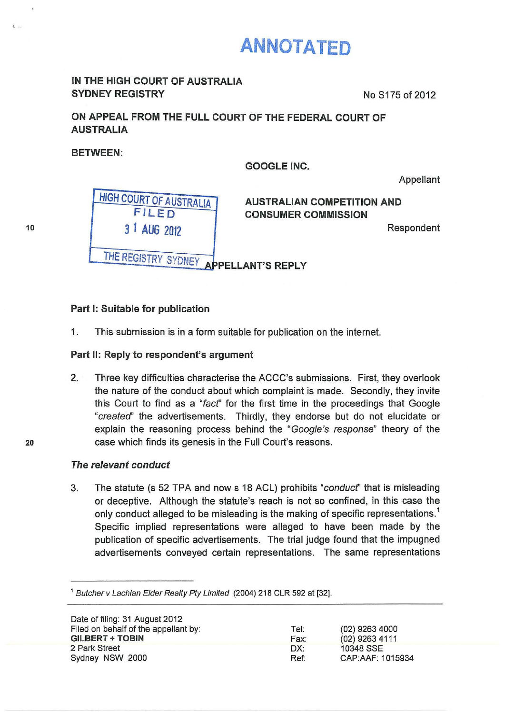# **ANNOTATED**

## IN THE HIGH COURT OF AUSTRALIA SYDNEY REGISTRY No S175 of 2012

# ON APPEAL FROM THE FULL COURT OF THE FEDERAL COURT OF AUSTRALIA

BETWEEN:

GOOGLE INC.

Appellant

**HIGH COURT OF AUSTRALIA** FILED *3* 1 2012 Respondent

**AUSTRALIAN COMPETITION AND** CONSUMER COMMISSION

THE REGISTRY SYDNEY APPELLANT'S REPLY

## Part I: Suitable for publication

1. This submission is in a form suitable for publication on the internet.

### Part II: Reply to respondent's argument

2. Three key difficulties characterise the ACCC's submissions. First, they overlook the nature of the conduct about which complaint is made. Secondly, they invite this Court to find as a "fact" for the first time in the proceedings that Google *"created'* the advertisements. Thirdly, they endorse but do not elucidate or explain the reasoning process behind the *"Goog/e's response"* theory of the case which finds its genesis in the Full Court's reasons.

### *The relevant conduct*

3. The statute (s 52 TPA and now s 18 ACL)prohibits *"conducf'* that is misleading or deceptive. Although the statute's reach is not so confined, in this case the only conduct alleged to be misleading is the making of specific representations.<sup>1</sup> Specific implied representations were alleged to have been made by the publication of specific advertisements. The trial judge found that the impugned advertisements conveyed certain representations. The same representations

<sup>1</sup> Butcher v Lachlan Elder Realty Pty Limited (2004) 218 CLR 592 at [32].

| Date of filing: 31 August 2012       |      |                  |
|--------------------------------------|------|------------------|
| Filed on behalf of the appellant by: | Tel: | (02) 9263 4000   |
| <b>GILBERT + TOBIN</b>               | Fax: | (02) 9263 4111   |
| 2 Park Street                        | DX:  | 10348 SSE        |
| Sydney NSW 2000                      | Ref: | CAP:AAF: 1015934 |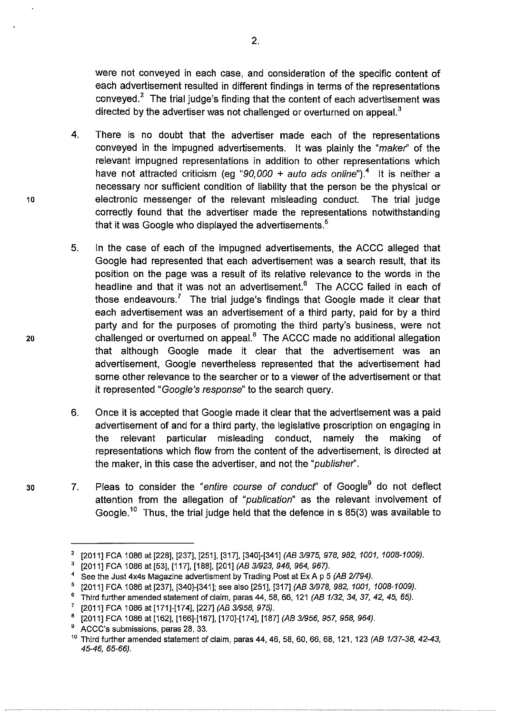were not conveyed in each case, and consideration of the specific content of each advertisement resulted in different findings in terms of the representations conveyed.<sup>2</sup> The trial judge's finding that the content of each advertisement was directed by the advertiser was not challenged or overturned on appeal.<sup>3</sup>

- 4. There is no doubt that the advertiser made each of the representations conveyed in the impugned advertisements. It was plainly the *"maker"* of the relevant impugned representations in addition to other representations which have not attracted criticism (eg " $90,000 +$  auto ads online").<sup>4</sup> It is neither a necessary nor sufficient condition of liability that the person be the physical or electronic messenger of the relevant misleading conduct. The trial judge correctly found that the advertiser made the representations notwithstanding that it was Google who displayed the advertisements.<sup>5</sup>
- 5. In the case of each of the impugned advertisements, the ACCC alleged that Google had represented that each advertisement was a search result, that its position on the page was a result of its relative relevance to the words in the headline and that it was not an advertisement. $6$  The ACCC failed in each of those endeavours.<sup>7</sup> The trial judge's findings that Google made it clear that each advertisement was an advertisement of a third party, paid for by a third party and for the purposes of promoting the third party's business, were not challenged or overturned on appeal.<sup>8</sup> The ACCC made no additional allegation that although Google made it clear that the advertisement was an advertisement, Google nevertheless represented that the advertisement had some other relevance to the searcher or to a viewer of the advertisement or that it represented "Google's*response"*to the search query.
- 6. Onceit is accepted that Googlemade it clearthat the advertisement was a paid advertisement of and for a third party, the legislative proscription on engaging in the relevant particular misleading conduct, namely the making of representations which flow from the content of the advertisement, is directed at the maker, in this case the advertiser, and not the *"publisher".*
- 7. Pleas to consider the "entire course of conduct" of Google<sup>9</sup> do not deflect attention from the allegation of *"publication"* as the relevant involvement of Google.<sup>10</sup> Thus, the trial judge held that the defence in s 85(3) was available to

30

20

<sup>2</sup>[2011]FCA 1086at[228], [237], [251], [317], [340]-[341] *(AB 31975,978,982, 1001, 1008-1009).*

<sup>[2011]</sup> FCA 1086 at [53], [117], [188], [201] (AB 3/923, 946, 964, 967).

See the Just 4x4s Magazine advertisment by Trading Post at Ex A p 5 *(AB 2/794).* 

<sup>5</sup>[2011]FCA 1086at [237], [340]-[341]; see also [251], [317] *(AB 3/978, 982, 1001, 1008-1009).*

<sup>6</sup>Third further amended statement of claim, paras 44, 58, 66, 121 *(AB 1132, 34, 37, 42, 45, 65).* 

<sup>7</sup>[2011]FCA 1086at [171]-[174], [227] *(AB 3/958, 975).* 

<sup>8</sup>[2011]FCA 1086at [162], [166]-[167], [170]-[174],[187] *(AB 3/956,* 957, 958, *964).* 

<sup>9</sup>ACCC's submissions, paras 28, 33.

<sup>10</sup> Third further amended statement of claim, paras 44, 46, 58, 60,66, 68, 121, 123 *(AB 1137-38, 42-43, 45-46, 65-66).*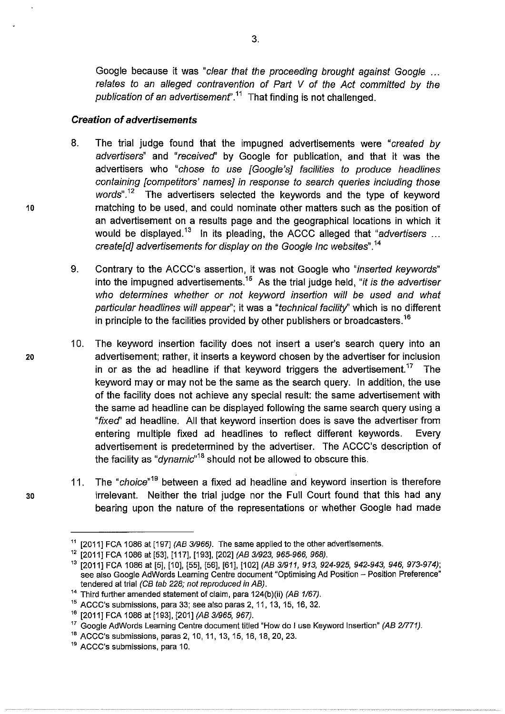Google because it was "clear that the proceeding brought against Google ... *relates to an alleged contravention of Part V of the Act committed by the*  publication of an advertisement<sup>".11</sup> That finding is not challenged.

#### *Creation of advertisements*

- 8. The trial judge found that the impugned advertisements were *"created by advertisers"* and *"received"* by Google for publication, and that it was the advertisers who *"chose to use [Google's] facilities to produce headlines containing [competitors' names] in response to search queries including those*  words".<sup>12</sup> The advertisers selected the keywords and the type of keyword matching to be used, and could nominate other matters such as the position of an advertisement on a results page and the geographical locations in which it would be displayed.<sup>13</sup> In its pleading, the ACCC alleged that "advertisers ... *create[d] advertisements for display on the Google Inc websites".*
- 9. Contrary to the ACCC's assertion, it was not Google who "*inserted keywords*" into the impugned advertisements.<sup>15</sup> As the trial judge held, "*it is the advertiser who determines whether or not keyword insertion will be used and what particular headlines will appear";* it was a *"technicalfacility"*which is no different in principle to the facilities provided by other publishers or broadcasters.<sup>16</sup>
- 10. The keyword insertion facility does not insert a user's search query into an advertisement; rather, it inserts a keyword chosen by the advertiser for inclusion in or as the ad headline if that keyword triggers the advertisement.<sup>17</sup> The keyword may or may not be the same as the search query. In addition, the use of the facility does not achieve any special result: the same advertisement with the same ad headline can be displayed following the same search query using a *"fixed"*ad headline. All that keyword insertion does is save the advertiser from entering multiple fixed ad headlines to reflect different keywords. Every advertisement is predetermined by the advertiser. The ACCC's description of the facility as "*dynamic*"<sup>18</sup> should not be allowed to obscure this.
- 11. The "*choice*"<sup>19</sup> between a fixed ad headline and keyword insertion is therefore irrelevant. Neither the trial judge nor the Full Court found that this had any bearing upon the nature of the representations or whether Google had made

30

<sup>&</sup>lt;sup>11</sup> [2011] FCA 1086 at [197] *(AB 3/966)*. The same applied to the other advertisements.

<sup>12</sup>[2011] FCA 1086at [53], [117], [193], [202]*(AB 3/923, 965-966, 968).* 

<sup>13</sup>[2011] FCA 1086at [5], [10], [55], [56], [61], [102]*(AB 3/911, 913, 924-925, 942-943, 946, 973-974);*  see also Google AdWords Learning Centre document "Optimising Ad Position - Position Preference" tendered at trial*(CB tab 228; not reproduced in AB).* 

<sup>&</sup>lt;sup>14</sup> Third further amended statement of claim, para 124(b)(ii) *(AB 1/67)*.

 $15$  ACCC's submissions, para 33; see also paras 2, 11, 13, 15, 16, 32.

<sup>16</sup>[2011] FCA 1086at [193], [201]*(AB 31965, 967).* 

<sup>&</sup>lt;sup>17</sup> Google AdWords Learning Centre document titled "How do I use Keyword Insertion" (AB 2/771).<br><sup>18</sup> ACCC's submissions, paras 2, 10, 11, 13, 15, 16, 18, 20, 23.

<sup>&</sup>lt;sup>19</sup> ACCC's submissions, para 10.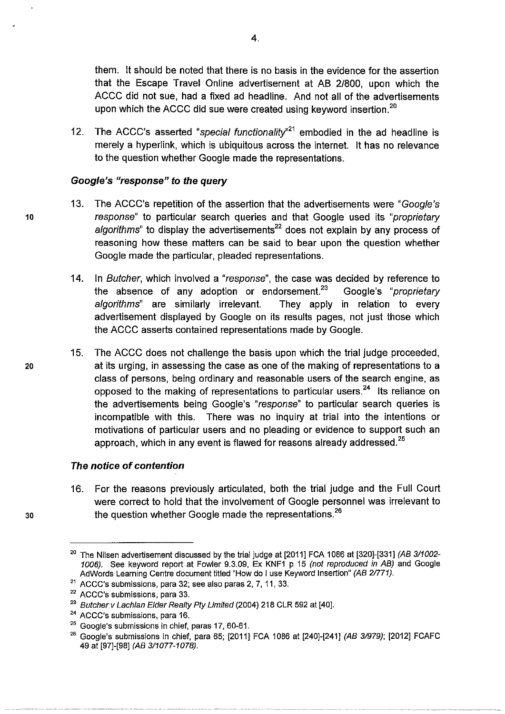them. It should be noted that there is no basis in the evidence for the assertion that the Escape Travel Online advertisement at AB 2/800, upon which the ACCC did not sue, had a fixed ad headline. And not all of the advertisements upon which the ACCC did sue were created using keyword insertion.<sup>20</sup>

12. The ACCC's asserted "*special functionality*<sup>21</sup> embodied in the ad headline is merely a hyperlink, which is ubiquitous across the internet. It has no relevance to the question whether Google made the representations.

#### *Google's "response"to the query*

- 13. The ACCC's repetition of the assertion that the advertisements were *"Google's response"* to particular search queries and that Google used its *"proprietary* algorithms" to display the advertisements<sup>22</sup> does not explain by any process of reasoning how these matters can be said to bear upon the question whether Google made the particular, pleaded representations.
- 14. In *Butcher,* which involveda *"response",* the case was decided by reference to the absence of any adoption or endorsement.<sup>23</sup> Google's "*proprietary algorithms"* are similarly irrelevant. They apply in relation to every advertisement displayed by Google on its results pages, not just those which the ACCC asserts contained representations made by Google.
- 15. The ACCC does not challenge the basis upon which the trial judge proceeded, at its urging, in assessing the case as one of the making of representations to a class of persons, being ordinary and reasonable users of the search engine, as opposed to the making of representations to particular users.<sup>24</sup> Its reliance on the advertisements being Google's *"response"* to particular search queries is incompatible with this. There was no inquiry at trial into the intentions or motivations of particular users and no pleading or evidence to support such an approach, which in any event is flawed for reasons already addressed. $^{25}$

#### *The notice of contention*

16. For the reasons previously articulated, both the trial judge and the Full Court were correct to hold that the involvement of Google personnel was irrelevant to the question whether Google made the representations.<sup>26</sup>

4.

20

30

The Nilsen advertisement discussed by the trial judge at [2011] FCA 1086 at [320]-[331] *(AB 3/1002-1006).* See keyword report at Fowler 9.3.09, Ex KNF1 p 15 *(not reproduced in AB)* and Google AdWords Learning Centre document titled "How do Iuse Keyword Insertion" *(AB 2/771).*

<sup>&</sup>lt;sup>21</sup> ACCC's submissions, para 32; see also paras 2, 7, 11, 33.

<sup>&</sup>lt;sup>22</sup> ACCC's submissions, para 33.

<sup>&</sup>lt;sup>23</sup> Butcher v Lachlan Elder Realty Pty Limited (2004) 218 CLR 592 at [40].

<sup>&</sup>lt;sup>24</sup> ACCC's submissions, para 16.

 $25$  Google's submissions in chief, paras 17, 60-61.

<sup>26</sup>Google's submissions in chief, para 65; [2011] FCA 1 086 at [240]-[241] *(AB 3/979);* [2012] FCAFC 49 at [97]-[98] *(AB 3/1077-1078).*